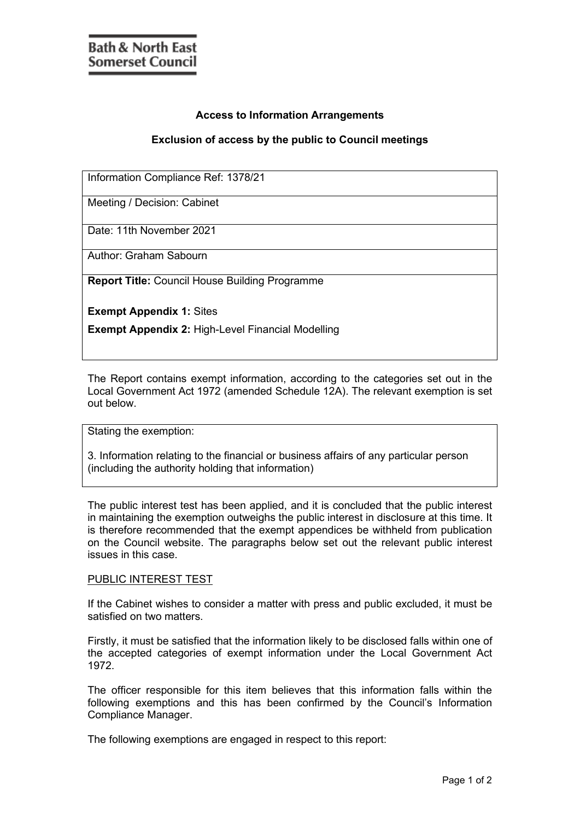## **Access to Information Arrangements**

## **Exclusion of access by the public to Council meetings**

Information Compliance Ref: 1378/21

Meeting / Decision: Cabinet

Date: 11th November 2021

Author: Graham Sabourn

**Report Title:** Council House Building Programme

**Exempt Appendix 1:** Sites

**Exempt Appendix 2:** High-Level Financial Modelling

The Report contains exempt information, according to the categories set out in the Local Government Act 1972 (amended Schedule 12A). The relevant exemption is set out below.

Stating the exemption:

3. Information relating to the financial or business affairs of any particular person (including the authority holding that information)

The public interest test has been applied, and it is concluded that the public interest in maintaining the exemption outweighs the public interest in disclosure at this time. It is therefore recommended that the exempt appendices be withheld from publication on the Council website. The paragraphs below set out the relevant public interest issues in this case.

## PUBLIC INTEREST TEST

If the Cabinet wishes to consider a matter with press and public excluded, it must be satisfied on two matters.

Firstly, it must be satisfied that the information likely to be disclosed falls within one of the accepted categories of exempt information under the Local Government Act 1972.

The officer responsible for this item believes that this information falls within the following exemptions and this has been confirmed by the Council's Information Compliance Manager.

The following exemptions are engaged in respect to this report: